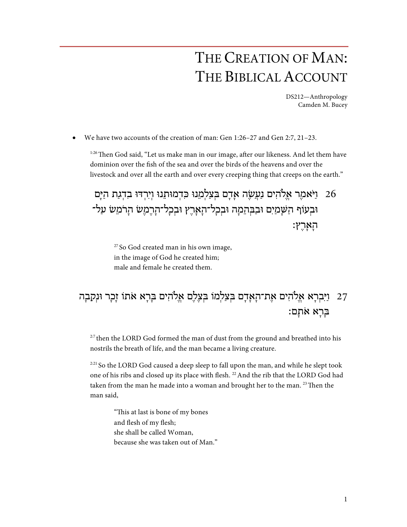## THE CREATION OF MAN: THE BIBLICAL ACCOUNT

DS212—Anthropology Camden M. Bucey

• We have two accounts of the creation of man: Gen 1:26–27 and Gen 2:7, 21–23.

1:26Then God said, "Let us make man in our image, after our likeness. And let them have dominion over the fish of the sea and over the birds of the heavens and over the livestock and over all the earth and over every creeping thing that creeps on the earth."

26 וַיֹּאמֶ ר אֱ ֹלהִ ים נַעֲ שֶׂ ה אָ דָ ם בְּ צַ לְ מֵ נוּ כִּ דְ מוּתֵ נוּ וְ יִ רְ דּוּ בִ דְ גַת הַ יָּם וּבְעוֹף הַשַּׁמַיִם וּבַבִּהֵמָה וּבִכְל־הָאָרֵץ וּבִכְל־הָרֵמֵשׂ הָרֹמֵשׂ עַל־ :הארץ

 $27$  So God created man in his own image, in the image of God he created him; male and female he created them.

## 27 | וַיִּבְרָא אֵלֹהִים אֶת־הָאָדָם בִּצָלְמוֹ בִּצָלֶם אֵלֹהִים בִּרְא אֹתוֹ זָכָר וּנִקָבָה בִּרָא אֹתָם:

<sup>2:7</sup> then the LORD God formed the man of dust from the ground and breathed into his nostrils the breath of life, and the man became a living creature.

<sup>2:21</sup> So the LORD God caused a deep sleep to fall upon the man, and while he slept took one of his ribs and closed up its place with flesh.<sup>22</sup> And the rib that the LORD God had taken from the man he made into a woman and brought her to the man.<sup>23</sup> Then the man said,

"This at last is bone of my bones and flesh of my flesh; she shall be called Woman, because she was taken out of Man."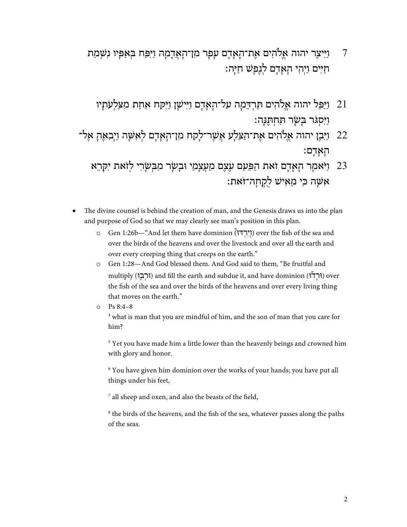- 7 וַיִּ יצֶר יהוה אֱ ֹלהִ ים אֶ ת־הָ אָ דָ ם עָ פָ ר מִ ן־הָ אֲ דָ מָ ה וַיִּ פַּ ח בְּ אַ פָּ יו נִ שְׁ מַ ת חַ יִּ ים וַיְ הִ י הָ אָ דָ ם לְ נֶפֶשׁ חַ יָּה׃
	- 21 וַיַּפֵּ ל יהוה אֱ ֹלהִ ים תַּ רְ דֵּ מָ ה עַ ל־הָ אָ דָ ם וַיִּ ישָׁ ן וַיִּ קַּ ח אַ חַ ת מִ צַּ לְ עֹתָ יו וַיִּ סְ גֹּר בָּ שָׂ ר תַּ חְ תֶּ נָּה׃
- 22 וַיִּבְן יהוה אֵלֹהִים אֶת־הַצַּלַע אֲשֶׁר־לַקַח מִן־הַאֲדָם לִאִשָּׁה וַיִבְאָהַ אָל־ הָ אָדָם
	- 23 וַיֹּאמֶר הָאָדָם זֹאת הַפַּעַם עֵצֶם מֵעֲצָמַי וּבְשָׂר מִבִּשָׂרִי לִזֹאת יִקְרֵא אִ שָּׁ ה כִּ י מֵ אִ ישׁ לֻקֳ חָ ה־זּ ֹאת׃
- The divine counsel is behind the creation of man, and the Genesis draws us into the plan and purpose of God so that we may clearly see man's position in this plan.
	- o Gen 1:26b—"And let them have dominion (ויִרְדוּ) over the fish of the sea and over the birds of the heavens and over the livestock and over all the earth and over every creeping thing that creeps on the earth."
	- o Gen 1:28—And God blessed them. And God said to them, "Be fruitful and multiply (וּרְבְוּ) and fill the earth and subdue it, and have dominion (וֹרְבָוּ) over the fish of the sea and over the birds of the heavens and over every living thing that moves on the earth."
	- o Ps 8:4–8

<sup>4</sup> what is man that you are mindful of him, and the son of man that you care for him?

<sup>5</sup> Yet you have made him a little lower than the heavenly beings and crowned him with glory and honor.

 $6$  You have given him dominion over the works of your hands; you have put all things under his feet,

 $<sup>7</sup>$  all sheep and oxen, and also the beasts of the field,</sup>

<sup>8</sup> the birds of the heavens, and the fish of the sea, whatever passes along the paths of the seas.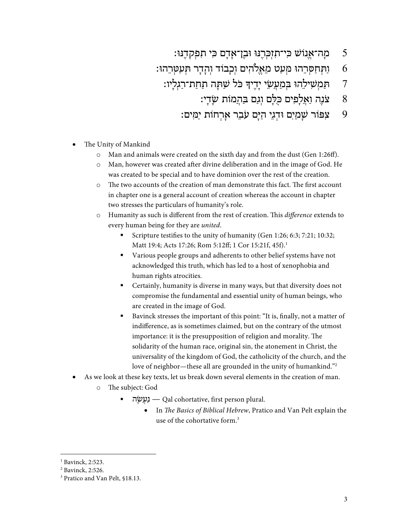- 5 מָ ה־אֱ נוֹשׁ כִּ י־תִ זְ כְּ רֶ נּוּ וּבֶ ן־אָ דָ ם כִּ י תִ פְ קְ דֶ נּוּ׃
- 6 וַתְּ חַ סְּ רֵ הוּ מְּ עַ ט מֵ אֱ ֹלהִ ים וְ כָ בוֹד וְ הָ דָ ר תְּ עַ טְּ רֵ הוּ׃
	- 7 תַּ מִשִׁילֵהוּ בִּמַעֲשֵׂי יָדֵיךָ כֹּל שַׁתֲּה תַחַת־רַגְלָיו:
		- צֹנֶה וַאֲלָפִים כֵּלָּם וְגַם בַּהֲמוֹת שָׂדָי:  $8$
		- 9 צִפּוֹר שָׁמַיִם וּדְגֵי הַיָּם עֹבֵר אָרְחוֹת יַמִּים:
- The Unity of Mankind
	- o Man and animals were created on the sixth day and from the dust (Gen 1:26ff).
	- o Man, however was created after divine deliberation and in the image of God. He was created to be special and to have dominion over the rest of the creation.
	- o The two accounts of the creation of man demonstrate this fact. The first account in chapter one is a general account of creation whereas the account in chapter two stresses the particulars of humanity's role.
	- o Humanity as such is different from the rest of creation. This *difference* extends to every human being for they are *united*.
		- § Scripture testifies to the unity of humanity (Gen 1:26; 6:3; 7:21; 10:32; Matt 19:4; Acts 17:26; Rom 5:12ff; 1 Cor 15:21f, 45f).<sup>1</sup>
		- § Various people groups and adherents to other belief systems have not acknowledged this truth, which has led to a host of xenophobia and human rights atrocities.
		- Certainly, humanity is diverse in many ways, but that diversity does not compromise the fundamental and essential unity of human beings, who are created in the image of God.
		- Bavinck stresses the important of this point: "It is, finally, not a matter of indifference, as is sometimes claimed, but on the contrary of the utmost importance: it is the presupposition of religion and morality. The solidarity of the human race, original sin, the atonement in Christ, the universality of the kingdom of God, the catholicity of the church, and the love of neighbor—these all are grounded in the unity of humankind."<sup>2</sup>
- As we look at these key texts, let us break down several elements in the creation of man.
	- o The subject: God
		- נעשׂה Qal cohortative, first person plural.
			- In *The Basics of Biblical Hebrew*, Pratico and Van Pelt explain the use of the cohortative form  $3$

 $<sup>1</sup>$  Bavinck, 2:523.</sup>

<sup>2</sup> Bavinck, 2:526.

<sup>3</sup> Pratico and Van Pelt, §18.13.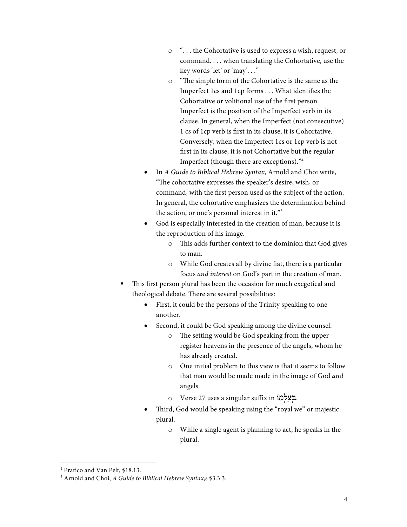- o ". . . the Cohortative is used to express a wish, request, or command. . . . when translating the Cohortative, use the key words 'let' or 'may'. . ."
- o "The simple form of the Cohortative is the same as the Imperfect 1cs and 1cp forms . . . What identifies the Cohortative or volitional use of the first person Imperfect is the position of the Imperfect verb in its clause. In general, when the Imperfect (not consecutive) 1 cs of 1cp verb is first in its clause, it is Cohortative. Conversely, when the Imperfect 1cs or 1cp verb is not first in its clause, it is not Cohortative but the regular Imperfect (though there are exceptions)."4
- In *A Guide to Biblical Hebrew Syntax*, Arnold and Choi write, "The cohortative expresses the speaker's desire, wish, or command, with the first person used as the subject of the action. In general, the cohortative emphasizes the determination behind the action, or one's personal interest in it."5
- God is especially interested in the creation of man, because it is the reproduction of his image.
	- o This adds further context to the dominion that God gives to man.
	- o While God creates all by divine fiat, there is a particular focus *and interest* on God's part in the creation of man.
- This first person plural has been the occasion for much exegetical and theological debate. There are several possibilities:
	- First, it could be the persons of the Trinity speaking to one another.
	- Second, it could be God speaking among the divine counsel.
		- o The setting would be God speaking from the upper register heavens in the presence of the angels, whom he has already created.
		- o One initial problem to this view is that it seems to follow that man would be made made in the image of God *and*  angels.
		- o Verse 27 uses a singular suffix in **בִצְלְמוֹ**
	- Third, God would be speaking using the "royal we" or majestic plural.
		- o While a single agent is planning to act, he speaks in the plural.

 <sup>4</sup> Pratico and Van Pelt, §18.13.

<sup>5</sup> Arnold and Choi, *A Guide to Biblical Hebrew Syntax*,s §3.3.3.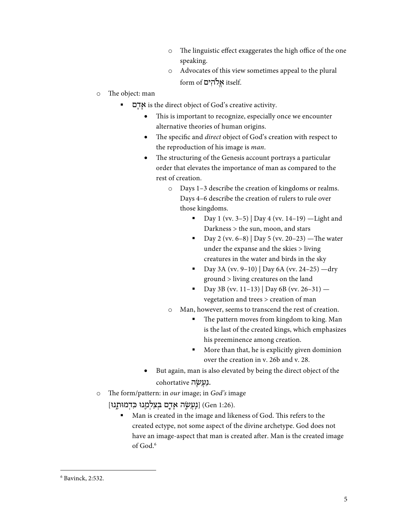- o The linguistic effect exaggerates the high office of the one speaking.
- o Advocates of this view sometimes appeal to the plural form of אֱלֹהִים itself.
- o The object: man
	- אדם is the direct object of God's creative activity.
		- This is important to recognize, especially once we encounter alternative theories of human origins.
		- The specific and *direct* object of God's creation with respect to the reproduction of his image is *man*.
		- The structuring of the Genesis account portrays a particular order that elevates the importance of man as compared to the rest of creation.
			- o Days 1–3 describe the creation of kingdoms or realms. Days 4–6 describe the creation of rulers to rule over those kingdoms.
				- Day 1 (vv. 3–5) | Day 4 (vv. 14–19) Light and Darkness > the sun, moon, and stars
				- Day 2 (vv. 6–8) | Day 5 (vv. 20–23) The water under the expanse and the skies > living creatures in the water and birds in the sky
				- **•** Day 3A (vv. 9–10) | Day 6A (vv. 24–25) —dry ground > living creatures on the land
				- Day 3B (vv. 11–13) | Day 6B (vv. 26–31) vegetation and trees > creation of man
			- o Man, however, seems to transcend the rest of creation.
				- The pattern moves from kingdom to king. Man is the last of the created kings, which emphasizes his preeminence among creation.
					- § More than that, he is explicitly given dominion over the creation in v. 26b and v. 28.
		- But again, man is also elevated by being the direct object of the cohortative נעשׂה.
- o The form/pattern: in *our* image; in *God's* image

[נַעֲשֶׂה אָדָם בִּצַלְמֵנוּ כִּדְמוּתֵנוּ] (Gen 1:26).

§ Man is created in the image and likeness of God. This refers to the created ectype, not some aspect of the divine archetype. God does not have an image-aspect that man is created after. Man is the created image of God.<sup>6</sup>

 <sup>6</sup> Bavinck, 2:532.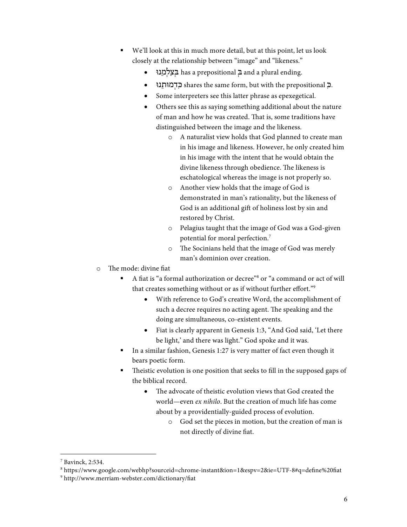- We'll look at this in much more detail, but at this point, let us look closely at the relationship between "image" and "likeness."
	- נוּ ֵמ ְל ַצ ְבּ has a prepositional ְבּ and a plural ending.
	- נוּ ֵמוּת ְד ִכּ shares the same form, but with the prepositional ִכּ.
	- Some interpreters see this latter phrase as epexegetical.
	- Others see this as saying something additional about the nature of man and how he was created. That is, some traditions have distinguished between the image and the likeness.
		- o A naturalist view holds that God planned to create man in his image and likeness. However, he only created him in his image with the intent that he would obtain the divine likeness through obedience. The likeness is eschatological whereas the image is not properly so.
		- o Another view holds that the image of God is demonstrated in man's rationality, but the likeness of God is an additional gift of holiness lost by sin and restored by Christ.
		- o Pelagius taught that the image of God was a God-given potential for moral perfection.7
		- o The Socinians held that the image of God was merely man's dominion over creation.
- o The mode: divine fiat
	- A fiat is "a formal authorization or decree"<sup>8</sup> or "a command or act of will that creates something without or as if without further effort."9
		- With reference to God's creative Word, the accomplishment of such a decree requires no acting agent. The speaking and the doing are simultaneous, co-existent events.
		- Fiat is clearly apparent in Genesis 1:3, "And God said, 'Let there be light,' and there was light." God spoke and it was.
	- In a similar fashion, Genesis 1:27 is very matter of fact even though it bears poetic form.
	- § Theistic evolution is one position that seeks to fill in the supposed gaps of the biblical record.
		- The advocate of theistic evolution views that God created the world—even *ex nihilo*. But the creation of much life has come about by a providentially-guided process of evolution.
			- o God set the pieces in motion, but the creation of man is not directly of divine fiat.

 <sup>7</sup> Bavinck, 2:534.

<sup>8</sup> https://www.google.com/webhp?sourceid=chrome-instant&ion=1&espv=2&ie=UTF-8#q=define%20fiat

<sup>9</sup> http://www.merriam-webster.com/dictionary/fiat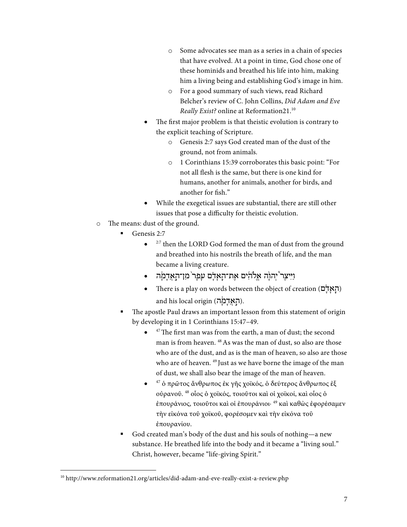- o Some advocates see man as a series in a chain of species that have evolved. At a point in time, God chose one of these hominids and breathed his life into him, making him a living being and establishing God's image in him.
- o For a good summary of such views, read Richard Belcher's review of C. John Collins, *Did Adam and Eve Really Exist?* online at Reformation21.10
- The first major problem is that theistic evolution is contrary to the explicit teaching of Scripture.
	- o Genesis 2:7 says God created man of the dust of the ground, not from animals.
	- o 1 Corinthians 15:39 corroborates this basic point: "For not all flesh is the same, but there is one kind for humans, another for animals, another for birds, and another for fish."
- While the exegetical issues are substantial, there are still other issues that pose a difficulty for theistic evolution.
- o The means: dust of the ground.
	- Genesis 2:7
		- $\bullet$  <sup>2:7</sup> then the LORD God formed the man of dust from the ground and breathed into his nostrils the breath of life, and the man became a living creature.
		- וַיִּיצֶר ْיְהוָׂה אֱלֹהִים אֶת־הַאָּדָֹם עַפָר<sup>י</sup> מִן־הָאֲדָמַׂה •
		- There is a play on words between the object of creation (הַאֲדָֹם) and his local origin (הְאָדָמָה).
	- The apostle Paul draws an important lesson from this statement of origin by developing it in 1 Corinthians 15:47–49.
		- 47The first man was from the earth, a man of dust; the second man is from heaven. <sup>48</sup> As was the man of dust, so also are those who are of the dust, and as is the man of heaven, so also are those who are of heaven. <sup>49</sup> Just as we have borne the image of the man of dust, we shall also bear the image of the man of heaven.
		- <sup>47</sup> ὁ πρῶτος ἄνθρωπος ἐκ γῆς χοϊκός, ὁ δεύτερος ἄνθρωπος ἐξ οὐρανοῦ. 48 οἷος ὁ χοϊκός, τοιοῦτοι καὶ οἱ χοϊκοί, καὶ οἷος ὁ ἐπουράνιος, τοιοῦτοι καὶ οἱ ἐπουράνιοι· 49 καὶ καθὼς ἐφορέσαμεν τὴν εἰκόνα τοῦ χοϊκοῦ, φορέσομεν καὶ τὴν εἰκόνα τοῦ ἐπουρανίου.
	- God created man's body of the dust and his souls of nothing—a new substance. He breathed life into the body and it became a "living soul." Christ, however, became "life-giving Spirit."

 <sup>10</sup> http://www.reformation21.org/articles/did-adam-and-eve-really-exist-a-review.php